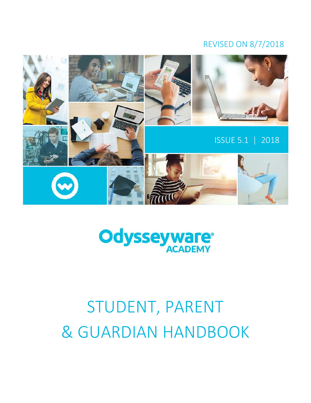# REVISED ON 8/7/2018





# STUDENT, PARENT & GUARDIAN HANDBOOK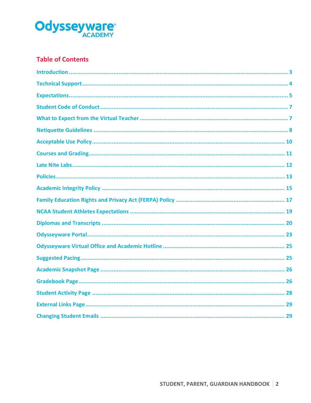

# **Table of Contents**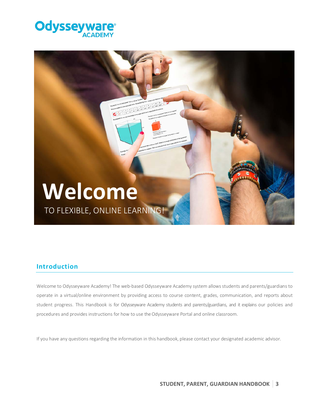



# **Introduction**

Welcome to Odysseyware Academy! The web-based Odysseyware Academy system allows students and parents/guardians to operate in a virtual/online environment by providing access to course content, grades, communication, and reports about student progress. This Handbook is for Odysseyware Academy students and parents/guardians, and it explains our policies and procedures and provides instructions for how to use the Odysseyware Portal and online classroom.

If you have any questions regarding the information in this handbook, please contact your designated academic advisor.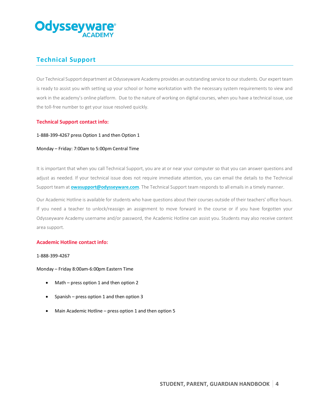

# **Technical Support**

Our Technical Support department at Odysseyware Academy provides an outstanding service to our students. Our expert team is ready to assist you with setting up your school or home workstation with the necessary system requirements to view and work in the academy's online platform. Due to the nature of working on digital courses, when you have a technical issue, use the toll-free number to get your issue resolved quickly.

# **Technical Support contact info:**

1-888-399-4267 press Option 1 and then Option 1

## Monday – Friday: 7:00am to 5:00pm Central Time

It is important that when you call Technical Support, you are at or near your computer so that you can answer questions and adjust as needed. If your technical issue does not require immediate attention, you can email the details to the Technical Support team at **owasupport@odysseyware.com**. The Technical Support team responds to all emails in a timely manner.

Our Academic Hotline is available for students who have questions about their courses outside of their teachers' office hours. If you need a teacher to unlock/reassign an assignment to move forward in the course or if you have forgotten your Odysseyware Academy username and/or password, the Academic Hotline can assist you. Students may also receive content area support.

## **Academic Hotline contact info:**

#### 1-888-399-4267

Monday – Friday 8:00am-6:00pm Eastern Time

- Math press option 1 and then option 2
- Spanish press option 1 and then option 3
- Main Academic Hotline press option 1 and then option 5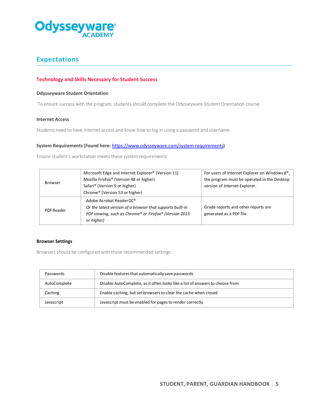

# **Expectations**

# **Technology and Skills Necessary for Student Success**

#### **Odysseyware Student Orientation**

To ensure success with the program, students should complete the Odysseyware Student Orientation course.

#### **Internet Access**

Students need to have internet access and know how to log in using a password and username.

## **System Requirements (Found here:** <https://www.odysseyware.com/system-requirements>**)**

Ensure student's workstation meets these system requirements

| <b>Browser</b>    | Microsoft Edge and Internet Explorer <sup>®</sup> (Version 11)<br>Mozilla Firefox® (Version 48 or higher)<br>Safari <sup>®</sup> (Version 9 or higher)<br>Chrome® (Version 53 or higher) | For users of Internet Explorer on Windows 8 <sup>®</sup> ,<br>the program must be operated in the Desktop<br>version of Internet Explorer. |
|-------------------|------------------------------------------------------------------------------------------------------------------------------------------------------------------------------------------|--------------------------------------------------------------------------------------------------------------------------------------------|
| <b>PDF Reader</b> | Adobe Acrobat Reader DC <sup>®</sup><br>Or the latest version of a browser that supports built-in<br>PDF viewing, such as Chrome® or Firefox® (Version 2015<br>or higher)                | Grade reports and other reports are<br>generated as a PDF file                                                                             |

## **Browser Settings**

Browsers should be configured with these recommended settings.

| Passwords    | Disable features that automatically save passwords                            |
|--------------|-------------------------------------------------------------------------------|
| AutoComplete | Disable AutoComplete, as it often looks like a list of answers to choose from |
| Caching      | Enable caching, but set browsers to clear the cache when closed               |
| Javascript   | Javascript must be enabled for pages to render correctly                      |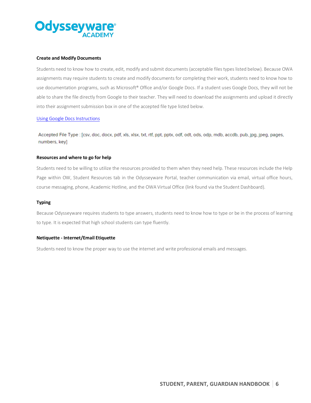

#### **Create and Modify Documents**

Students need to know how to create, edit, modify and submit documents (acceptable files types listed below). Because OWA assignments may require students to create and modify documents for completing their work, students need to know how to use documentation programs, such as Microsoft® Office and/or Google Docs. If a student uses Google Docs, they will not be able to share the file directly from Google to their teacher. They will need to download the assignments and upload it directly into their assignment submission box in one of the accepted file type listed below.

## [Using Google Docs Instructions](http://glnvideos.s3.amazonaws.com/odw/pd_and_t/OWA/User%20Guides/Guide_Using%20Google%20Docs.pdf)

Accepted File Type : [csv, doc, docx, pdf, xls, xlsx, txt, rtf, ppt, pptx, odf, odt, ods, odp, mdb, accdb, pub, jpg, jpeg, pages, numbers, key]

#### **Resources and where to go for help**

Students need to be willing to utilize the resources provided to them when they need help. These resources include the Help Page within OW, Student Resources tab in the Odysseyware Portal, teacher communication via email, virtual office hours, course messaging, phone, Academic Hotline, and the OWA Virtual Office (link found via the Student Dashboard).

#### **Typing**

Because Odysseyware requires students to type answers, students need to know how to type or be in the process of learning to type. It is expected that high school students can type fluently.

#### **Netiquette - Internet/Email Etiquette**

Students need to know the proper way to use the internet and write professional emails and messages.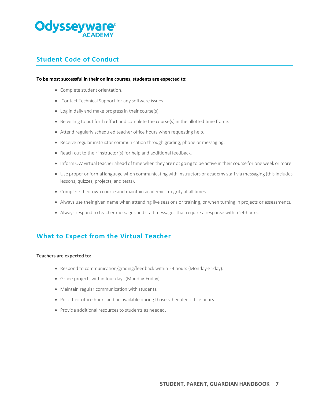

# **Student Code of Conduct**

#### **To be most successful in their online courses, students are expected to:**

- Complete student orientation.
- Contact Technical Support for any software issues.
- Log in daily and make progress in their course(s).
- Be willing to put forth effort and complete the course(s) in the allotted time frame.
- Attend regularly scheduled teacher office hours when requesting help.
- Receive regular instructor communication through grading, phone or messaging.
- Reach out to their instructor(s) for help and additional feedback.
- Inform OW virtual teacher ahead of time when they are not going to be active in their course for one week or more.
- Use proper or formal language when communicating with instructors or academy staff via messaging (this includes lessons, quizzes, projects, and tests).
- Complete their own course and maintain academic integrity at all times.
- Always use their given name when attending live sessions or training, or when turning in projects or assessments.
- Always respond to teacher messages and staff messages that require a response within 24-hours.

# **What to Expect from the Virtual Teacher**

#### **Teachers are expected to:**

- Respond to communication/grading/feedback within 24 hours (Monday-Friday).
- Grade projects within four days (Monday-Friday).
- Maintain regular communication with students.
- Post their office hours and be available during those scheduled office hours.
- Provide additional resources to students as needed.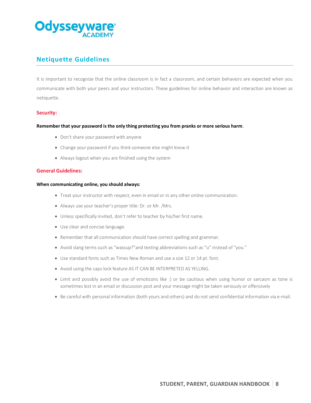

# **Netiquette Guidelines**

It is important to recognize that the online classroom is in fact a classroom, and certain behaviors are expected when you communicate with both your peers and your instructors. These guidelines for online behavior and interaction are known as netiquette.

# **Security:**

## **Remember that your password is the only thing protecting you from pranks or more serious harm**.

- Don't share your password with anyone
- Change your password if you think someone else might know it
- Always logout when you are finished using the system

## **General Guidelines:**

#### **When communicating online, you should always:**

- Treat your instructor with respect, even in email or in any other online communication.
- Always use your teacher's proper title: Dr. or Mr. /Mrs.
- Unless specifically invited, don't refer to teacher by his/her first name.
- Use clear and concise language.
- Remember that all communication should have correct spelling and grammar.
- Avoid slang terms such as "wassup?"and texting abbreviations such as "u" instead of "you."
- Use standard fonts such as Times New Roman and use a size 12 or 14 pt. font.
- Avoid using the caps lock feature AS IT CAN BE INTERPRETED AS YELLING.
- Limit and possibly avoid the use of emoticons like :) or be cautious when using humor or sarcasm as tone is sometimes lost in an email or discussion post and your message might be taken seriously or offensively
- Be careful with personal information (both yours and others) and do not send confidential information via e-mail.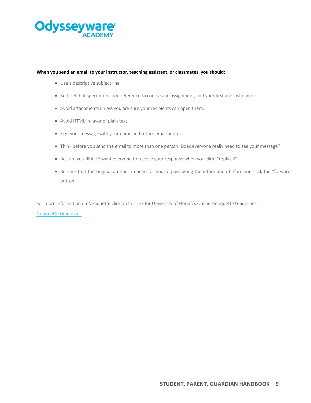

#### **When you send an email to your instructor, teaching assistant, or classmates, you should:**

- Use a descriptive subject line.
- Be brief, but specific (include reference to course and assignment, and your first and last name).
- Avoid attachments unless you are sure your recipients can open them.
- Avoid HTML in favor of plain text.
- Sign your message with your name and return email address.
- Think before you send the email to more than one person. Does everyone really need to see your message?
- Be sure you REALLY want everyone to receive your response when you click, "reply all".
- Be sure that the original author intended for you to pass along the information before you click the "forward" button.

For more information on Netiquette click on this link for University of Florida's Online Netiquette Guidelines:

#### [Netiquette Guidelines](http://teach.ufl.edu/wp-content/uploads/2012/08/NetiquetteGuideforOnlineCourses.pdf)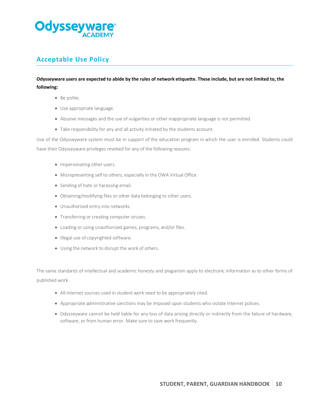

# **Acceptable Use Policy**

# **Odysseyware users are expected to abide by the rules of network etiquette. These include, but are not limited to, the following:**

- Be polite.
- Use appropriate language.
- Abusive messages and the use of vulgarities or other inappropriate language is not permitted.
- Take responsibility for any and all activity initiated by the students account.

Use of the Odysseyware system must be in support of the education program in which the user is enrolled. Students could have their Odysseyware privileges revoked for any of the following reasons:

- Impersonating other users.
- Misrepresenting self to others, especially in the OWA Virtual Office.
- Sending of hate or harassing email.
- Obtaining/modifying files or other data belonging to other users.
- Unauthorized entry into networks.
- Transferring or creating computer viruses.
- Loading or using unauthorized games, programs, and/or files.
- Illegal use of copyrighted software.
- Using the network to disrupt the work of others.

The same standards of intellectual and academic honesty and plagiarism apply to electronic information as to other forms of published work.

- All internet sources used in student work need to be appropriately cited.
- Appropriate administrative sanctions may be imposed upon students who violate Internet polices.
- Odysseyware cannot be held liable for any loss of data arising directly or indirectly from the failure of hardware, software, or from human error. Make sure to save work frequently.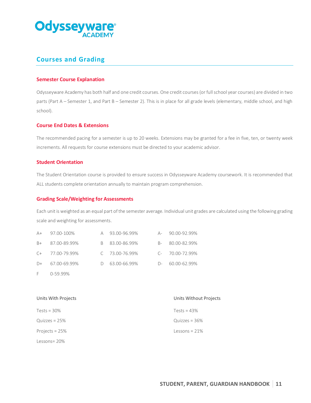

# **Courses and Grading**

## **Semester Course Explanation**

Odysseyware Academy has both half and one credit courses. One credit courses(or full school year courses) are divided in two parts (Part A – Semester 1, and Part B – Semester 2). This is in place for all grade levels (elementary, middle school, and high school).

## **Course End Dates & Extensions**

The recommended pacing for a semester is up to 20 weeks. Extensions may be granted for a fee in five, ten, or twenty week increments. All requests for course extensions must be directed to your academic advisor.

## **Student Orientation**

The Student Orientation course is provided to ensure success in Odysseyware Academy coursework. It is recommended that ALL students complete orientation annually to maintain program comprehension.

## **Grading Scale/Weighting for Assessments**

Each unit is weighted as an equal part of the semester average. Individual unit grades are calculated using the following grading scale and weighting for assessments.

| $A+$ | 97.00-100%        | A 93.00-96.99% |      | A- 90.00-92.99%   |
|------|-------------------|----------------|------|-------------------|
| $B+$ | 87.00-89.99%      | B 83.00-86.99% |      | B- 80.00-82.99%   |
|      | $C+$ 77.00-79.99% | C 73.00-76.99% |      | $C-70.00-72.99\%$ |
| $D+$ | 67.00-69.99%      | D 63.00-66.99% | $D-$ | 60.00-62.99%      |
|      |                   |                |      |                   |

F 0-59.99%

| Units With Projects | Units Without Projects |
|---------------------|------------------------|
| Tests = $30\%$      | Tests = $43\%$         |
| Quizzes = $25%$     | Quizzes = $36\%$       |
| Projects = 25%      | Lessons = $21\%$       |
| Lessons=20%         |                        |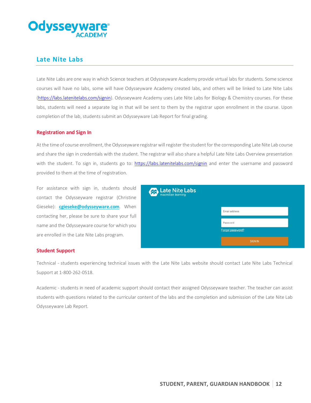

# **Late Nite Labs**

Late Nite Labs are one way in which Science teachers at Odysseyware Academy provide virtual labs for students. Some science courses will have no labs, some will have Odysseyware Academy created labs, and others will be linked to Late Nite Labs [\(https://labs.latenitelabs.com/signin\)](https://labs.latenitelabs.com/signin). Odysseyware Academy uses Late Nite Labs for Biology & Chemistry courses. For these labs, students will need a separate log in that will be sent to them by the registrar upon enrollment in the course. Upon completion of the lab, students submit an Odysseyware Lab Report for final grading.

## **Registration and Sign In**

At the time of course enrollment, the Odysseyware registrar will register the student for the corresponding Late Nite Lab course and share the sign in credentials with the student. The registrar will also share a helpful Late Nite Labs Overview presentation with the student. To sign in, students go to:<https://labs.latenitelabs.com/signin> and enter the username and password provided to them at the time of registration.

For assistance with sign in, students should contact the Odysseyware registrar (Christine Gieseke): **cgieseke@odysseyware.com**. When contacting her, please be sure to share your full name and the Odysseyware course for which you are enrolled in the Late Nite Labs program.

| <b>Collect Labs</b><br><b>A</b> macmillan learning |                  |  |
|----------------------------------------------------|------------------|--|
|                                                    | Email address    |  |
|                                                    | Password         |  |
|                                                    | Forgot password? |  |
|                                                    | <b>SIGN IN</b>   |  |

## **Student Support**

Technical - students experiencing technical issues with the Late Nite Labs website should contact Late Nite Labs Technical Support at 1-800-262-0518.

Academic - students in need of academic support should contact their assigned Odysseyware teacher. The teacher can assist students with questions related to the curricular content of the labs and the completion and submission of the Late Nite Lab Odysseyware Lab Report.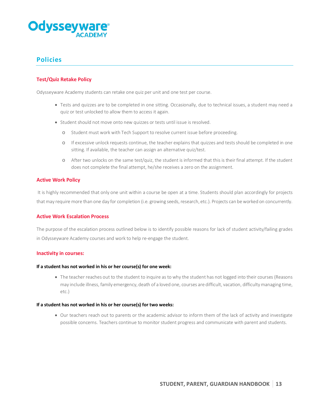

# **Policies**

# **Test/Quiz Retake Policy**

Odysseyware Academy students can retake one quiz per unit and one test per course.

- Tests and quizzes are to be completed in one sitting. Occasionally, due to technical issues, a student may need a quiz or test unlocked to allow them to access it again.
- Student should not move onto new quizzes or tests until issue is resolved.
	- o Student must work with Tech Support to resolve current issue before proceeding.
	- o If excessive unlock requests continue, the teacher explains that quizzes and tests should be completed in one sitting. If available, the teacher can assign an alternative quiz/test.
	- o After two unlocks on the same test/quiz, the student is informed that this is their final attempt. If the student does not complete the final attempt, he/she receives a zero on the assignment.

## **Active Work Policy**

It is highly recommended that only one unit within a course be open at a time. Students should plan accordingly for projects that may require more than one day for completion (i.e. growing seeds, research, etc.). Projects can be worked on concurrently.

## **Active Work Escalation Process**

The purpose of the escalation process outlined below is to identify possible reasons for lack of student activity/failing grades in Odysseyware Academy courses and work to help re-engage the student.

#### **Inactivity in courses:**

#### **If a student has not worked in his or her course(s) for one week:**

• The teacher reaches out to the student to inquire as to why the student has not logged into their courses (Reasons may include illness, family emergency, death of a loved one, courses are difficult, vacation, difficulty managing time, etc.)

#### **If a student has not worked in his or her course(s) for two weeks:**

• Our teachers reach out to parents or the academic advisor to inform them of the lack of activity and investigate possible concerns. Teachers continue to monitor student progress and communicate with parent and students.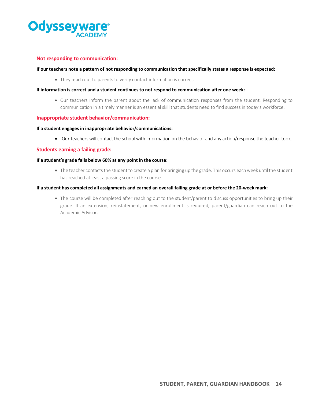

## **Not responding to communication:**

## **If our teachers note a pattern of not responding to communication that specifically states a response is expected:**

• They reach out to parents to verify contact information is correct.

#### **If information is correct and a student continues to not respond to communication after one week:**

• Our teachers inform the parent about the lack of communication responses from the student. Responding to communication in a timely manner is an essential skill that students need to find success in today's workforce.

## **Inappropriate student behavior/communication:**

#### **If a student engages in inappropriate behavior/communications:**

• Our teachers will contact the school with information on the behavior and any action/response the teacher took.

## **Students earning a failing grade:**

#### **If a student's grade falls below 60% at any point in the course:**

• The teacher contacts the student to create a plan for bringing up the grade. This occurs each week until the student has reached at least a passing score in the course.

#### **If a student has completed all assignments and earned an overall failing grade at or before the 20-week mark:**

• The course will be completed after reaching out to the student/parent to discuss opportunities to bring up their grade. If an extension, reinstatement, or new enrollment is required, parent/guardian can reach out to the Academic Advisor.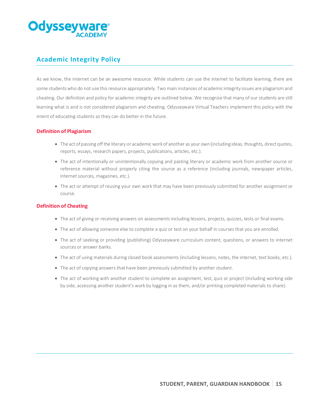

# **Academic Integrity Policy**

As we know, the internet can be an awesome resource. While students can use the internet to facilitate learning, there are some students who do not use this resource appropriately. Two main instances of academic integrity issues are plagiarism and cheating. Our definition and policy for academic integrity are outlined below. We recognize that many of our students are still learning what is and is not considered plagiarism and cheating. Odysseyware Virtual Teachers implement this policy with the intent of educating students so they can do better in the future.

# **Definition of Plagiarism**

- The act of passing off the literary or academic work of another as your own (including ideas, thoughts, direct quotes, reports, essays, research papers, projects, publications, articles, etc.).
- The act of intentionally or unintentionally copying and pasting literary or academic work from another source or reference material without properly citing the source as a reference (including journals, newspaper articles, internet sources, magazines, etc.).
- The act or attempt of reusing your own work that may have been previously submitted for another assignment or course.

## **Definition of Cheating**

- The act of giving or receiving answers on assessments including lessons, projects, quizzes, tests or final exams.
- The act of allowing someone else to complete a quiz or test on your behalf in courses that you are enrolled.
- The act of seeking or providing (publishing) Odysseyware curriculum content, questions, or answers to internet sources or answer banks.
- The act of using materials during closed book assessments (including lessons, notes, the internet, text books, etc.).
- The act of copying answers that have been previously submitted by another student.
- The act of working with another student to complete an assignment, test, quiz or project (including working side by side, accessing another student's work by logging in as them, and/or printing completed materials to share).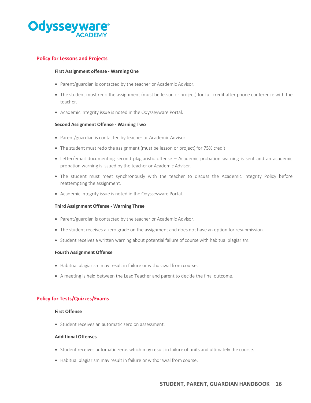

# **Policy for Lessons and Projects**

#### **First Assignment offense - Warning One**

- Parent/guardian is contacted by the teacher or Academic Advisor.
- The student must redo the assignment (must be lesson or project) for full credit after phone conference with the teacher.
- Academic Integrity issue is noted in the Odysseyware Portal.

## **Second Assignment Offense - Warning Two**

- Parent/guardian is contacted by teacher or Academic Advisor.
- The student must redo the assignment (must be lesson or project) for 75% credit.
- Letter/email documenting second plagiaristic offense Academic probation warning is sent and an academic probation warning is issued by the teacher or Academic Advisor.
- The student must meet synchronously with the teacher to discuss the Academic Integrity Policy before reattempting the assignment.
- Academic Integrity issue is noted in the Odysseyware Portal.

#### **Third Assignment Offense - Warning Three**

- Parent/guardian is contacted by the teacher or Academic Advisor.
- The student receives a zero grade on the assignment and does not have an option for resubmission.
- Student receives a written warning about potential failure of course with habitual plagiarism.

#### **Fourth Assignment Offense**

- Habitual plagiarism may result in failure or withdrawal from course.
- A meeting is held between the Lead Teacher and parent to decide the final outcome.

## **Policy for Tests/Quizzes/Exams**

## **First Offense**

• Student receives an automatic zero on assessment.

#### **Additional Offenses**

- Student receives automatic zeros which may result in failure of units and ultimately the course.
- Habitual plagiarism may result in failure or withdrawal from course.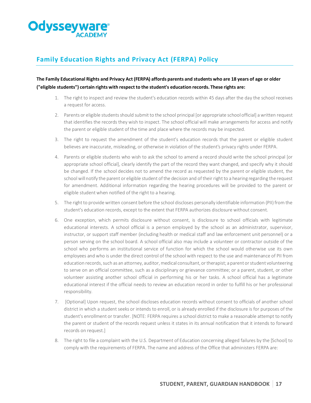

# **Family Education Rights and Privacy Act (FERPA) Policy**

# The Family Educational Rights and Privacy Act (FERPA) affords parents and students who are 18 years of age or older **("eligible students") certain rights with respect to the student's education records. These rights are:**

- 1. The right to inspect and review the student's education records within 45 days after the day the school receives a request for access.
- 2. Parents or eligible students should submit to the school principal [or appropriate school official] a written request that identifies the records they wish to inspect. The school official will make arrangements for access and notify the parent or eligible student of the time and place where the records may be inspected.
- 3. The right to request the amendment of the student's education records that the parent or eligible student believes are inaccurate, misleading, or otherwise in violation of the student's privacy rights under FERPA.
- 4. Parents or eligible students who wish to ask the school to amend a record should write the school principal [or appropriate school official], clearly identify the part of the record they want changed, and specify why it should be changed. If the school decides not to amend the record as requested by the parent or eligible student, the school will notify the parent or eligible student of the decision and of their right to a hearing regarding the request for amendment. Additional information regarding the hearing procedures will be provided to the parent or eligible studentwhen notified of the right to a hearing.
- 5. The right to provide written consent before the school discloses personally identifiable information (PII) from the student's education records, except to the extent that FERPA authorizes disclosure without consent.
- 6. One exception, which permits disclosure without consent, is disclosure to school officials with legitimate educational interests. A school official is a person employed by the school as an administrator, supervisor, instructor, or support staff member (including health or medical staff and law enforcement unit personnel) or a person serving on the school board. A school official also may include a volunteer or contractor outside of the school who performs an institutional service of function for which the school would otherwise use its own employees and who is under the direct control of the school with respect to the use and maintenance of PII from education records, such as an attorney, auditor, medical consultant, or therapist; a parent or student volunteering to serve on an official committee, such as a disciplinary or grievance committee; or a parent, student, or other volunteer assisting another school official in performing his or her tasks. A school official has a legitimate educational interest if the official needs to review an education record in order to fulfill his or her professional responsibility.
- 7. [Optional] Upon request, the school discloses education records without consent to officials of another school district in which a student seeks or intends to enroll, or is already enrolled if the disclosure is for purposes of the student's enrollment or transfer. [NOTE: FERPA requires a school district to make a reasonable attempt to notify the parent or student of the records request unless it states in its annual notification that it intends to forward records on request.]
- 8. The right to file a complaint with the U.S. Department of Education concerning alleged failures by the [School] to comply with the requirements of FERPA. The name and address of the Office that administers FERPA are: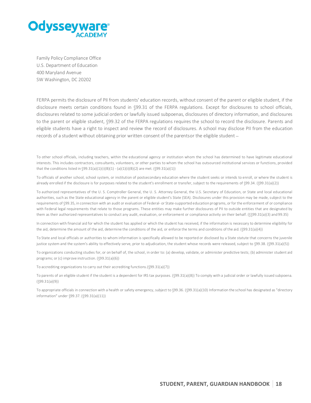

Family Policy Compliance Office U.S. Department of Education 400 Maryland Avenue SW Washington, DC 20202

FERPA permits the disclosure of PII from students' education records, without consent of the parent or eligible student, if the disclosure meets certain conditions found in §99.31 of the FERPA regulations. Except for disclosures to school officials, disclosures related to some judicial orders or lawfully issued subpoenas, disclosures of directory information, and disclosures to the parent or eligible student, §99.32 of the FERPA regulations requires the school to record the disclosure. Parents and eligible students have a right to inspect and review the record of disclosures. A school may disclose PII from the education records of a student without obtaining prior written consent of the parentsor the eligible student –

To other school officials, including teachers, within the educational agency or institution whom the school has determined to have legitimate educational interests. This includes contractors, consultants, volunteers, or other parties to whom the school has outsourced institutional services or functions, provided that the conditions listed in  $\sqrt{99.31(a)(1)(i)(B)(1)} - (a)(1)(i)(B)(2)$  are met.  $(\sqrt{99.31(a)(1)})$ 

To officials of another school, school system, or institution of postsecondary education where the student seeks or intends to enroll, or where the student is already enrolled if the disclosure is for purposes related to the student's enrollment or transfer, subject to the requirements of §99.34. (§99.31(a)(2))

To authorized representatives of the U. S. Comptroller General, the U. S. Attorney General, the U.S. Secretary of Education, or State and local educational authorities, such as the State educational agency in the parent or eligible student's State (SEA). Disclosures under this provision may be made, subject to the requirements of §99.35, in connection with an audit or evaluation of Federal- or State-supported education programs, or for the enforcement of or compliance with Federal legal requirements that relate to those programs. These entities may make further disclosures of PII to outside entities that are designated by them as their authorized representatives to conduct any audit, evaluation, or enforcement or compliance activity on their behalf. (§§99.31(a)(3) and99.35)

In connection with financial aid for which the student has applied or which the student has received, if the information is necessary to determine eligibility for the aid, determine the amount of the aid, determine the conditions of the aid, or enforce the terms and conditions of the aid. (§99.31(a)(4))

To State and local officials or authorities to whom information is specifically allowed to be reported or disclosed by a State statute that concerns the juvenile justice system and the system's ability to effectively serve, prior to adjudication, the student whose records were released, subject to §99.38. (§99.31(a)(5))

To organizations conducting studies for, or on behalf of, the school, in order to: (a) develop, validate, or administer predictive tests; (b) administer student aid programs; or (c) improve instruction. (§99.31(a)(6))

To accrediting organizations to carry out their accrediting functions.(§99.31(a)(7))

To parents of an eligible student if the student is a dependent for IRS tax purposes. (§99.31(a)(8)) To comply with a judicial order or lawfully issued subpoena. (§99.31(a)(9))

To appropriate officials in connection with a health or safety emergency, subject to §99.36. (§99.31(a)(10) Information the school has designated as "directory information" under §99.37. (§99.31(a)(11))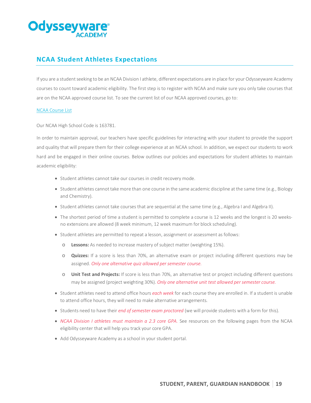# **Odysseyv**

# **NCAA Student Athletes Expectations**

If you are a student seeking to be an NCAA Division I athlete, different expectations are in place for your Odysseyware Academy courses to count toward academic eligibility. The first step is to register with NCAA and make sure you only take courses that are on the NCAA approved course list. To see the current list of our NCAA approved courses, go to:

## [NCAA Course List](https://web3.ncaa.org/hsportal/exec/hsAction?hsActionSubmit=searchHighSchool)

Our NCAA High School Code is 163781.

In order to maintain approval, our teachers have specific guidelines for interacting with your student to provide the support and quality that will prepare them for their college experience at an NCAA school. In addition, we expect our students to work hard and be engaged in their online courses. Below outlines our policies and expectations for student athletes to maintain academic eligibility:

- Student athletes cannot take our courses in credit recovery mode.
- Student athletes cannot take more than one course in the same academic discipline at the same time (e.g., Biology and Chemistry).
- Student athletes cannot take courses that are sequential at the same time (e.g., Algebra I and Algebra II).
- The shortest period of time a student is permitted to complete a course is 12 weeks and the longest is 20 weeksno extensions are allowed (8 week minimum, 12 week maximum for block scheduling).
- Student athletes are permitted to repeat a lesson, assignment or assessment as follows:
	- o **Lessons:** As needed to increase mastery of subject matter (weighting 15%).
	- o **Quizzes:** If a score is less than 70%, an alternative exam or project including different questions may be assigned. *Only one alternative quiz allowed per semester course.*
	- o **Unit Test and Projects:** If score is less than 70%, an alternative test or project including different questions may be assigned (project weighting 30%). *Only one alternative unit test allowed per semester course.*
- Student athletes need to attend office hours *each week* for each course they are enrolled in. If a student is unable to attend office hours, they will need to make alternative arrangements.
- Students need to have their *end of semester exam proctored* (we will provide students with a form for this).
- *NCAA Division I athletes must maintain a 2.3 core GPA.* See resources on the following pages from the NCAA eligibility center that will help you track your core GPA.
- Add Odysseyware Academy as a school in your student portal.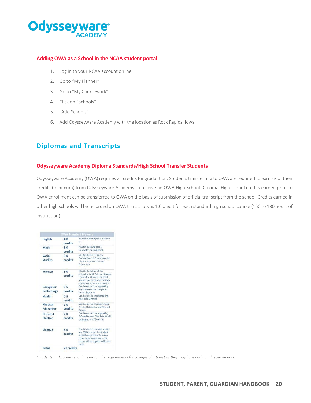# **Odysseyware®**

# **Adding OWA as a School in the NCAA student portal:**

- 1. Log in to your NCAA account online
- 2. Go to "My Planner"
- 3. Go to "My Coursework"
- 4. Click on "Schools"
- 5. "Add Schools"
- 6. Add Odysseyware Academy with the location as Rock Rapids, Iowa

# **Diplomas and Transcripts**

# **Odysseyware Academy Diploma Standards/High School Transfer Students**

Odysseyware Academy (OWA) requires 21 credits for graduation. Students transferring to OWA are required to earn six of their credits (minimum) from Odysseyware Academy to receive an OWA High School Diploma. High school credits earned prior to OWA enrollment can be transferred to OWA on the basis of submission of official transcript from the school. Credits earned in other high schools will be recorded on OWA transcripts as 1.0 credit for each standard high school course (150 to 180 hours of instruction).

|                                    | <b>OWA Standard Diploma</b> |                                                                                                                                                                            |
|------------------------------------|-----------------------------|----------------------------------------------------------------------------------------------------------------------------------------------------------------------------|
| English                            | 4.0<br>credits              | Must include English I, II, III and<br>IV                                                                                                                                  |
| Math                               | 3.0<br><b>credits</b>       | Must include Algebra I,<br>Geometry, and Algebrall                                                                                                                         |
| Social<br><b>Studies</b>           | 3.0<br>credits              | Must include US History<br>Foundations to Present, World<br>History, Government and<br>Economics                                                                           |
| Science                            | 3.0<br>credits              | Must include two of the<br>following: Earth Science, Biology,<br>Chemistry, Physics, The third<br>science can be earned through<br>taking any other sciencecourse.         |
| Computer<br><b>Technology</b>      | 0.5<br><b>credits</b>       | Can be earned throughtaking<br>any course in the Computer<br>Technology area                                                                                               |
| Health                             | 0.5<br>credits              | Can be earned throughtaking<br>High SchoolHealth                                                                                                                           |
| Physical<br>Education              | 1 <sub>0</sub><br>credits   | Can be earned through taking<br>Physical Education and Physical<br>Fit ness                                                                                                |
| <b>Directed</b><br><b>Flective</b> | 7.0<br>credits              | Can be earned throughtaking<br>2.0 credits from Fine Arts, World<br>Language, or CTEcourses                                                                                |
| Elective                           | 4.0<br>credits              | Can be earned through taking<br>any OWA course. If a student<br>exceeds requirements in any<br>other requirement area, the<br>excess will be applied to Elective<br>credit |
| Total                              | 21 credits                  |                                                                                                                                                                            |

*\*Students and parents should research the requirements for colleges of interest as they may have additional requirements.*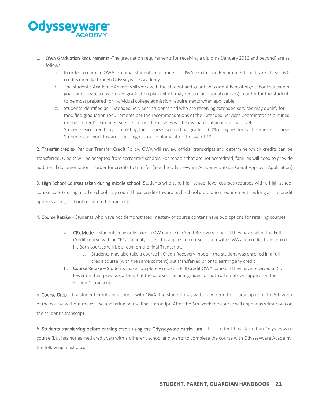# **Odysseyw**

- 1. OWA Graduation Requirements -The graduation requirements for receiving a diploma (January 2016 and beyond) are as follows:
	- a. In order to earn an OWA Diploma, students must meet all OWA Graduation Requirements and take at least 6.0 credits directly through Odysseyware Academy.
	- b. The student's Academic Advisor will work with the student and guardian to identify post high school education goals and create a customized graduation plan (which may require additional courses) in order for the student to be most prepared for individual college admission requirements when applicable.
	- c. Students identified as "Extended Services" students and who are receiving extended services may qualify for modified graduation requirements per the recommendations of the Extended Services Coordinator as outlined on the student's extended services form. These cases will be evaluated at an individual level.
	- d. Students earn credits by completing their courses with a final grade of 60% or higher for each semester course.
	- e. Students can work towards their high school diploma after the age of 18.

2. Transfer credits- Per our Transfer Credit Policy, OWA will review official transcripts and determine which credits can be transferred. Credits will be accepted from accredited schools. For schools that are not accredited, families will need to provide additional documentation in order for credits to transfer (See the Odysseyware Academy Outside Credit Approval Application)

3. High School Courses taken during middle school- Students who take high school level courses (courses with a high school course code) during middle school may count those credits toward high school graduation requirements as long as the credit appears as high school credit on the transcript.

4. Course Retake – Students who have not demonstrated mastery of course content have two options for retaking courses.

- a. CRx Mode Students may only take an OW course in Credit Recovery mode if they have failed the Full Credit course with an "F" as a final grade. This applies to courses taken with OWA and credits transferred in. Both courses will be shown on the final Transcript.
	- a. Students may also take a course in Credit Recovery mode if the student was enrolled in a full credit course (with the same content) but transferred prior to earning any credit.
- b. Course Retake Students make completely retake a Full Credit OWA course if they have received a D or lower on their previous attempt at the course. The final grades for both attempts will appear on the student's transcript.

5. Course Drop – If a student enrolls in a course with OWA, the student may withdraw from the course up until the 5th week of the course without the course appearing on the final transcript. After the 5th week the course will appear as withdrawn on the student's transcript.

6. Students transferring before earning credit using the Odysseyware curriculum – If a student has started an Odysseyware course (but has not earned credit yet) with a different school and wants to complete the course with Odysseyware Academy, the following must occur: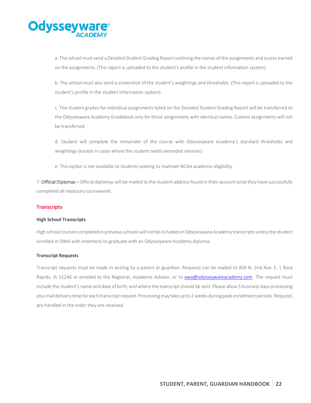# **Odysseyw**

a. The school must send a Detailed Student Grading Report outlining the names of the assignments and scores earned on the assignments. (This report is uploaded to the student's profile in the student information system).

b. The school must also send a screenshot of the student's weightings and thresholds. (This report is uploaded to the student's profile in the student information system).

c. The student grades for individual assignments listed on the Detailed Student Grading Report will be transferred to the Odysseyware Academy Gradebook only for those assignments with identical names. Custom assignments will not be transferred.

d. Student will complete the remainder of the course with Odysseyware Academy's standard thresholds and weightings (except in cases where the student needs extended services).

e. This option is not available to students seeking to maintain NCAA academic eligibility.

7. Official Diplomas - Official diplomas will be mailed to the student address found in their account once they have successfully completed all necessary coursework.

# **Transcripts**

## **High School Transcripts**

High school courses completed in previous schools will not be included on Odysseyware Academy transcripts unless the student enrolled in OWA with intentions to graduate with an Odysseyware Academy diploma.

## **Transcript Requests**

Transcript requests must be made in writing by a parent or guardian. Requests can be mailed to 804 N. 2nd Ave. E. | Rock Rapids, IA 51246 or emailed to the Registrar, Academic Advisor, or to [owa@odysseywareacademy.com](mailto:owa@odysseywareacademy.com) The request must include the student's name and date of birth, and where the transcript should be sent. Please allow 5 business days processing plus mail delivery time for each transcript request. Processing may take up to 2 weeks during peak enrollment periods. Requests are handled in the order they are received.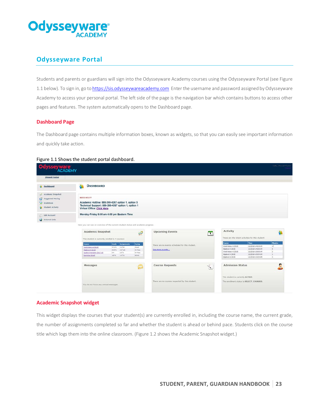

# **Odysseyware Portal**

Students and parents or guardians will sign into the Odysseyware Academy courses using the Odysseyware Portal (see Figure 1.1 below). To sign in, go t[o https://sis.odysseywareacademy.com](https://sis.odysseywareacademy.com/) Enter the username and password assigned by Odysseyware Academy to access your personal portal. The left side of the page is the navigation bar which contains buttons to access other pages and features. The system automatically opens to the Dashboard page.

# **Dashboard Page**

The Dashboard page contains multiple information boxes, known as widgets, so that you can easily see important information and quickly take action.

## Figure 1.1 Shows the student portal dashboard.

| <b>JPowell Tester</b>   |                                                                                   |                                 |                    |                                                 |               |                                              |                                                   |                       |
|-------------------------|-----------------------------------------------------------------------------------|---------------------------------|--------------------|-------------------------------------------------|---------------|----------------------------------------------|---------------------------------------------------|-----------------------|
| <b>Dashboard</b>        | <b>DASHBOARD</b><br>M                                                             |                                 |                    |                                                 |               |                                              |                                                   |                       |
|                         |                                                                                   |                                 |                    |                                                 |               |                                              |                                                   |                       |
| Academic Snapshot       |                                                                                   |                                 |                    |                                                 |               |                                              |                                                   |                       |
| <b>Suggested Pacing</b> | <b>NEED HELP?</b>                                                                 |                                 |                    |                                                 |               |                                              |                                                   |                       |
| Gradebook               | Academic Hotline: 888-399-4267 option 1, option 5                                 |                                 |                    |                                                 |               |                                              |                                                   |                       |
| Student Activity        | Technical Support: 888-399-4267 option 1, option 1                                |                                 |                    |                                                 |               |                                              |                                                   |                       |
|                         | Virtual Office: Click Here                                                        |                                 |                    |                                                 |               |                                              |                                                   |                       |
|                         | Monday-Friday 8:00 am-6:00 pm Eastern Time                                        |                                 |                    |                                                 |               |                                              |                                                   |                       |
| Edit Account            |                                                                                   |                                 |                    |                                                 |               |                                              |                                                   |                       |
| External Links          |                                                                                   |                                 |                    |                                                 |               |                                              |                                                   |                       |
|                         |                                                                                   |                                 |                    |                                                 |               |                                              |                                                   |                       |
|                         | Here you can see an overview of the current student status and academic progress. |                                 |                    |                                                 |               |                                              |                                                   |                       |
|                         |                                                                                   |                                 |                    |                                                 |               |                                              |                                                   |                       |
|                         |                                                                                   |                                 |                    |                                                 |               | Activity                                     |                                                   |                       |
|                         | <b>Academic Snapshot</b>                                                          |                                 | ₽                  | <b>Upcoming Events</b>                          | $\mathbf{T}$  |                                              |                                                   |                       |
|                         | This student is currently enrolled in 4 courses:                                  |                                 |                    |                                                 |               |                                              | These are the latest activities for this student: |                       |
|                         |                                                                                   |                                 |                    |                                                 |               |                                              |                                                   |                       |
|                         | Course                                                                            | Grade Assignments               | Pacing             | There are no events scheduled for this student. |               | Course                                       | Time                                              | <b>Minutes</b><br>17. |
|                         | World Hotory A (2018)                                                             | 3 pf 86<br>97.2%                | Ahead              |                                                 |               | World History A (2018)<br>Algebra I A (2018) | 2/1/2018 6:49:35 AM<br>2/1/2018 6:40:00 AM        | $\frac{1}{2}$         |
|                         | Algebra I A (2018)                                                                | 3 of 100<br>95.8%<br>2013<br>0% | On Pace<br>On Pace | See more events                                 |               | World History A (2018)                       | 2/1/2018 6:36:06 AM                               | $\mathbf{a}$          |
|                         | Student Orientation (2017-18)<br>Economics (2018)                                 | 10591<br>100%                   | <b>Behind</b>      |                                                 |               | Algebra I.A (2018)                           | 2/1/2018 6:35:54 AM                               | $\ddot{x}$            |
|                         |                                                                                   |                                 |                    |                                                 |               | Algebra I A (2018)                           | 2/1/2018 6:32:03 AM                               | $\mathcal{L}$         |
|                         |                                                                                   |                                 |                    |                                                 |               |                                              |                                                   |                       |
|                         | Messages                                                                          |                                 |                    | <b>Course Requests</b>                          |               | <b>Admission Status</b>                      |                                                   |                       |
|                         |                                                                                   |                                 |                    |                                                 | $\mathcal{A}$ |                                              |                                                   |                       |
|                         |                                                                                   |                                 |                    |                                                 |               |                                              |                                                   |                       |
|                         |                                                                                   |                                 |                    |                                                 |               | This student is currently ACTIVE.            |                                                   |                       |
|                         |                                                                                   |                                 |                    | There are no courses requested by this student, |               | The enrolment status is SELECT_COURSES.      |                                                   |                       |

## **Academic Snapshot widget**

This widget displays the courses that your student(s) are currently enrolled in, including the course name, the current grade, the number of assignments completed so far and whether the student is ahead or behind pace. Students click on the course title which logs them into the online classroom. (Figure 1.2 shows the Academic Snapshot widget.)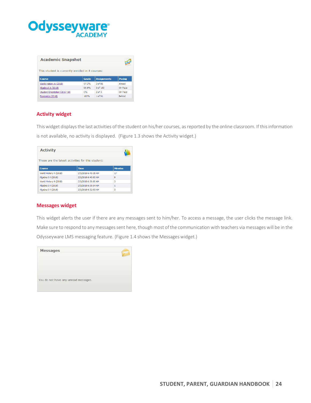

| <b>Academic Snapshot</b>                         |              |                    |               |
|--------------------------------------------------|--------------|--------------------|---------------|
| This student is currently enrolled in 4 courses: |              |                    |               |
| <b>Course</b>                                    | <b>Grade</b> | <b>Assignments</b> | Pacing        |
| World History A (2018)                           | 97.2%        | 3 of 86            | Ahead         |
| Algebra I A (2018)                               | 95.8%        | 3 of 100           | On Pace       |
| Student Orientation (2017-18)                    | 0%           | $2$ of $3$         | On Pace       |
| Economics (2018)                                 | 100%         | 1 of 91            | <b>Behind</b> |

# **Activity widget**

This widget displays the last activities of the student on his/her courses, as reported by the online classroom. If this information

is not available, no activity is displayed. (Figure 1.3 shows the Activity widget.)

| <b>Activity</b>        |                                                   |                |
|------------------------|---------------------------------------------------|----------------|
|                        | These are the latest activities for this student: |                |
| <b>Course</b>          | <b>Time</b>                                       | <b>Minutes</b> |
| World History A (2018) | 2/1/2018 6:49:35 AM                               | 17             |
| Algebra I A (2018)     | 2/1/2018 6:40:00 AM                               | 9              |
| World History A (2018) | 2/1/2018 6:36:06 AM                               | 3              |
| Algebra I A (2018)     | 2/1/2018 6:35:54 AM                               | 1              |
| Algebra I A (2018)     | 2/1/2018 6:32:03 AM                               | 3              |

## **Messages widget**

This widget alerts the user if there are any messages sent to him/her. To access a message, the user clicks the message link. Make sure to respond to any messages sent here, though most of the communication with teachers via messages will be in the Odysseyware LMS messaging feature. (Figure 1.4 shows the Messages widget.)

| <b>Messages</b>                      |  |
|--------------------------------------|--|
|                                      |  |
| You do not have any unread messages. |  |
|                                      |  |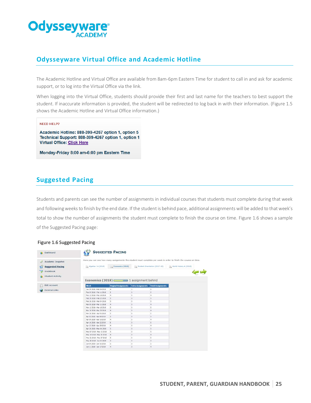

# **Odysseyware Virtual Office and Academic Hotline**

The Academic Hotline and Virtual Office are available from 8am-6pm Eastern Time for student to call in and ask for academic support, or to log into the Virtual Office via the link.

When logging into the Virtual Office, students should provide their first and last name for the teachers to best support the student. If inaccurate information is provided, the student will be redirected to log back in with their information. (Figure 1.5 shows the Academic Hotline and Virtual Office information.)

#### **NEED HELP?**

Academic Hotline: 888-399-4267 option 1, option 5 Technical Support: 888-399-4267 option 1, option 1 **Virtual Office: Click Here** 

Monday-Friday 8:00 am-6:00 pm Eastern Time

# **Suggested Pacing**

Students and parents can see the number of assignments in individual courses that students must complete during that week and following weeks to finish by the end date. If the student is behind pace, additional assignments will be added to that week's total to show the number of assignments the student must complete to finish the course on time. Figure 1.6 shows a sample of the Suggested Pacing page:

| Dashboard  |                         |                                                                                                                 | <b>SUGGESTED PACING</b>     |                          |                               |                        |
|------------|-------------------------|-----------------------------------------------------------------------------------------------------------------|-----------------------------|--------------------------|-------------------------------|------------------------|
| $\sqrt{2}$ | Academic Snapshot       | Here you can see how many assignments the student must complete per week in order to finish the course on time. |                             |                          |                               |                        |
|            | <b>Suggested Pacing</b> | Algebra I A (2018)                                                                                              | C Economics (2010)          |                          | Student Orientation (2017-18) | World History A (2016) |
| Gradebook  |                         |                                                                                                                 |                             |                          |                               |                        |
|            |                         |                                                                                                                 |                             |                          |                               |                        |
|            | Student Activity        |                                                                                                                 |                             |                          |                               |                        |
|            |                         | Economics (2018) 1 assignment behind                                                                            |                             |                          |                               |                        |
|            | <b>Edit Account</b>     | Week                                                                                                            | <b>Original Assignments</b> | <b>Extra Assignments</b> | <b>Total Assignments</b>      |                        |
|            | <b>External Links</b>   | Jan 29 2018 - Feb 04 2018                                                                                       | $\frac{1}{2}$               |                          | 5                             |                        |
|            |                         | Feb 05 2018 - Feb 11 2018                                                                                       | 5                           | o                        | 5                             |                        |
|            |                         | Feb 12 3018 - Feb 18 3018                                                                                       | $\overline{a}$              | o                        | $\Delta$                      |                        |
|            |                         | Feb 19 2018 - Feb 25 2018                                                                                       | i5                          | $\theta$                 | 3                             |                        |
|            |                         | Feb 26 2018 - Mar 04 2018                                                                                       | 5                           | i.                       | 5                             |                        |
|            |                         | Mar 05 2018 - Mar 11 2018                                                                                       | $\frac{1}{2}$               | $\circ$                  | ۹                             |                        |
|            |                         | Mar 12 2018 - Mar 18 2018                                                                                       | 5                           | $\ddot{\rm{o}}$          | x                             |                        |
|            |                         | Mar 19 2018 - Mar 25 2018                                                                                       | $\overline{4}$              | ō                        | $\ddot{a}$                    |                        |
|            |                         | Mar 26 2018 - Apr 01 2018                                                                                       | s                           | $\theta$                 | š                             |                        |
|            |                         | Apr 02 2018 - Apr 08 2018                                                                                       | 5                           | $\Omega$                 | $\overline{5}$                |                        |
|            |                         | Apr 09 2018 - Apr 15 2018                                                                                       | $\ddot{\phantom{a}}$        | $\circ$                  | $\frac{1}{2}$                 |                        |
|            |                         | Apr 16 2018 - Apr 22 2018                                                                                       | 6                           | $\circ$                  | 6                             |                        |
|            |                         | Apr 23 2018 - Apr 29 2018                                                                                       | 4                           | o                        | 4                             |                        |
|            |                         | Apr 30 2018 - May 06 2018                                                                                       | $\overline{5}$              | $\theta$                 | s                             |                        |
|            |                         | May 07 2018 - May 13 2018                                                                                       | 5                           | $\mathbf{0}$             | 5                             |                        |
|            |                         | May 14 2018 - May 20 2018                                                                                       | $\frac{4}{3}$               | $\circ$                  | $\frac{4}{3}$                 |                        |
|            |                         | May 21 2018 - May 27 2018                                                                                       | 5                           | $\circ$                  | 5                             |                        |
|            |                         | May 28 2018 - Jun 03 2018                                                                                       | $\overline{3}$              | $\sigma$                 | 3                             |                        |
|            |                         | Jun 04 2018 - Jun 10 2018                                                                                       | 5                           | $\sigma$                 | 5                             |                        |
|            |                         | kn 11 2018 - kn 17 2018                                                                                         | $\alpha$                    | a                        | ч                             |                        |

#### Figure 1.6 Suggested Pacing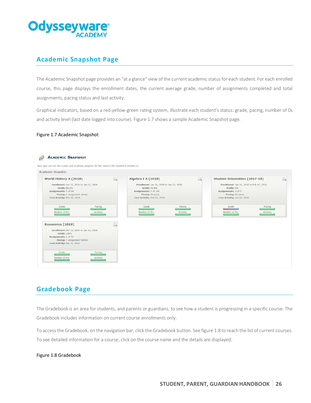

# **Academic Snapshot Page**

The Academic Snapshot page provides an "at a glance" view of the current academic status for each student. For each enrolled course, this page displays the enrollment dates, the current average grade, number of assignments completed and total assignments, pacing status and last activity.

Graphical indicators, based on a red-yellow-green rating system, illustrate each student's status: grade, pacing, number of 0s and activity level (last date logged into course). Figure 1.7 shows a sample Academic Snapshot page.

#### Figure 1.7 Academic Snapshot



# **Gradebook Page**

The Gradebook is an area for students, and parents or guardians, to see how a student is progressing in a specific course. The Gradebook includes information on current course enrollments only.

To access the Gradebook, on the navigation bar, click the Gradebook button. See figure 1.8 to reach the list of current courses. To see detailed information for a course, click on the course name and the details are displayed:

## Figure 1.8 Gradebook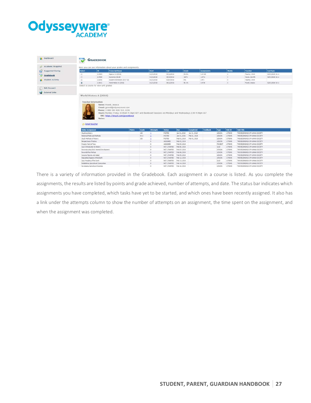# **Odysseyware®**

|                        |                                              | <b>GRADEBOOK</b>                        |                                                                                                                                              |               |              |                 |                 |                     |                           |                    |                |                |                                  |                  |
|------------------------|----------------------------------------------|-----------------------------------------|----------------------------------------------------------------------------------------------------------------------------------------------|---------------|--------------|-----------------|-----------------|---------------------|---------------------------|--------------------|----------------|----------------|----------------------------------|------------------|
| Academic Snapshot      |                                              |                                         | Here you can see information about your grades and assignments.                                                                              |               |              |                 |                 |                     |                           |                    |                |                |                                  |                  |
| Suggested Pacing       | Select                                       | m                                       | <b>Transcript Kame</b>                                                                                                                       |               |              | <b>Start</b>    | <b>End</b>      | Grade               |                           | <b>Assignments</b> |                | <b>Weeks</b>   | <b>Teacher</b>                   | Last Sync        |
|                        | $\circ$                                      | 213684                                  | Algebra I.A (2018)                                                                                                                           |               |              | 01/31/2018      | 06/12/2018      | 95.8%               |                           | 3 of 500           |                | b              | Teacher, OWA                     | 02/01/2018 10:11 |
| Gradebook              | Ø                                            | 214605                                  | Economics (2018)                                                                                                                             |               |              | 01/31/2018      | 06/19/2018      | 100%                |                           | 1 of 91            |                | 16             | Hayes, Jennifer                  | 02/01/2018 10:11 |
| <b>Budent Activity</b> | $\circ$                                      | 212055                                  | Student Orientation (2017-18)                                                                                                                |               |              | 01/31/2018      | 02/07/2018      | 0%                  |                           | $2$ of $3$         |                | ۱ö             | Teacher, OWA                     |                  |
|                        | $\ddot{\phantom{a}}$                         | 213611                                  | World History A (2018)                                                                                                                       |               |              | 01/31/2018      | 06/12/2018      | $98.1\%$            |                           | 3 of 86            |                | $\circ$        | Powel, Jessica                   | 02/01/2018 10:11 |
|                        |                                              | Select a course to view unit grades     |                                                                                                                                              |               |              |                 |                 |                     |                           |                    |                |                |                                  |                  |
| <b>Edit Account</b>    |                                              |                                         |                                                                                                                                              |               |              |                 |                 |                     |                           |                    |                |                |                                  |                  |
| <b>Links</b>           |                                              |                                         |                                                                                                                                              |               |              |                 |                 |                     |                           |                    |                |                |                                  |                  |
|                        |                                              | <b>Teacher Information</b>              | Name: Powell, Jessica<br>Email: powell@odysseyware.com                                                                                       |               |              |                 |                 |                     |                           |                    |                |                |                                  |                  |
|                        |                                              |                                         | Phone: I-888-399-4267 Ext. 6330<br>Hours: Monday-Fnday: 8:00am-4:30pm EDT and Blackboard Sessions are Mondays and Wednesdays 2:00-4:00pm EST |               |              |                 |                 |                     |                           |                    |                |                |                                  |                  |
|                        | Email teacher                                | Notes:                                  | URL: https://tinyurl.com/jpowellowa/                                                                                                         |               |              |                 | <b>Status</b>   |                     |                           |                    |                | <b>Unit ID</b> | <b>Unit Title</b>                |                  |
|                        | <b>Online Assignment</b><br>Studying History |                                         |                                                                                                                                              | <b>Points</b> | Grade<br>100 | <b>Attempts</b> | POSTED          | Due<br>Jan 31, 2018 | Completed<br>Jan 31, 2018 | <b>Feedback</b>    | Type<br>LESSON | 1725045        | THE BEGINNINGS OF HUMAN SOCIETY  |                  |
|                        | Historical Fields and Methods                |                                         |                                                                                                                                              |               | 94.3         |                 | <b>POSTED</b>   | Jan 31, 2018        | Feb 01, 2018              |                    | LESSON         | 1775045        | THE BEGINNINGS OF HUMAN SOCIETY  |                  |
|                        | Study Methods of History                     |                                         |                                                                                                                                              |               | 100          |                 | POSTED          | Feb 01, 2018        | Feb 01, 2018              |                    | LESSON         | 1775045        | THE BEGINNINGS OF HUMAN SOCIETY  |                  |
|                        | Perspectives of History                      |                                         |                                                                                                                                              |               |              | $\Omega$        | <b>ASSIGNED</b> | Feb 02, 2018        |                           |                    | <b>LESSON</b>  | 1775045        | THE BEGINNINGS OF HUMAN SOCIETY  |                  |
|                        | Project: Point of View                       |                                         |                                                                                                                                              |               |              | 0               | ASSIGNED        | Feb 05, 2018        |                           |                    | PROJECT        | 1775045        | THE BEGINNINGS OF HUMAN SOCIETY  |                  |
|                        | Quiz: Introduction to History                |                                         |                                                                                                                                              |               |              | io.             | NOT_STARTED     | Feb 06, 2018        |                           |                    | QUIZ           | 1775045        | THE BEGINNINGS OF HUMAN SOCIETY. |                  |
|                        |                                              | Reconstructing Early Hommid Development |                                                                                                                                              |               |              | $\circ$         | NOT_STARTED     | Feb 07, 2018        |                           |                    | LESSON         | 1775245        | THE BEGINNINGS OF HUMAN SOCIETY  |                  |
|                        | Rewards from Refuse                          |                                         |                                                                                                                                              |               |              | $\circ$         | NOT STARTED     | Feb 08, 2018        |                           |                    | LESSON         | 1775045        | THE BEGINNINGS OF HUMAN SOCIETY. |                  |
|                        | Humans Mgrate and Adapt                      |                                         |                                                                                                                                              |               |              |                 | NOT_STARTED     | Feb 09, 2018        |                           |                    | LESSON         | 1775045        | THE BEGININGS OF HUMAN SOCIETY   |                  |
|                        |                                              | Populating Regions of the Earth         |                                                                                                                                              |               |              | $\Omega$        | NOT_STARTED     | Feb 12, 2018        |                           |                    | LESSON         | 1775045        | THE BEGINNINGS OF HUMAN SOCIETY. |                  |
|                        | Quiz: Peopling of the Earth                  |                                         |                                                                                                                                              |               |              |                 | NOT_STARTED     | Feb 13, 2018        |                           |                    | QUIZ           | 1775045        | THE BEGINNINGS OF HUMAN SOCIETY  |                  |
|                        |                                              | Establishing Agricultural Communities   |                                                                                                                                              |               |              |                 | NOT STARTED     | Feb 14, 2010        |                           |                    | LESSON         | 1225045        | THE BEGINNINGS OF HUMAN SOCIETY  |                  |

There is a variety of information provided in the Gradebook. Each assignment in a course is listed. As you complete the assignments, the results are listed by points and grade achieved, number of attempts, and date. The status bar indicates which assignments you have completed, which tasks have yet to be started, and which ones have been recently assigned. It also has a link under the attempts column to show the number of attempts on an assignment, the time spent on the assignment, and when the assignment was completed.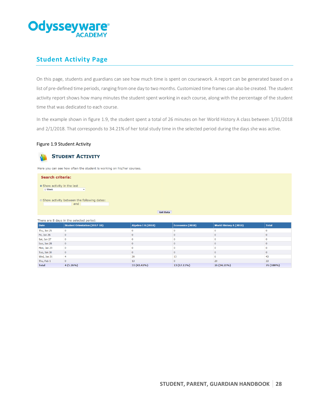

# **Student Activity Page**

On this page, students and guardians can see how much time is spent on coursework. A report can be generated based on a list of pre-defined time periods, ranging from one day to two months. Customized time frames can also be created. The student activity report shows how many minutes the student spent working in each course, along with the percentage of the student time that was dedicated to each course.

In the example shown in figure 1.9, the student spent a total of 26 minutes on her World History A class between 1/31/2018 and 2/1/2018. That corresponds to 34.21% of her total study time in the selected period during the days she was active.

## Figure 1.9 Student Activity



# **STUDENT ACTIVITY**

Here you can see how often the student is working on his/her courses.

#### **Search criteria:**

- · Show activity in the last 1 Week
- Show activity between the following dates: and

**Get Data** 

|  |  |  | There are 8 days in the selected period: |  |
|--|--|--|------------------------------------------|--|
|  |  |  |                                          |  |

| <b>Date</b>  | <b>Student Orientation (2017-18)</b> | Algebra I A (2018) | Economics (2018) | <b>World History A (2018)</b> | <b>Total</b> |
|--------------|--------------------------------------|--------------------|------------------|-------------------------------|--------------|
| Thu, Jan 25  |                                      |                    |                  |                               |              |
| Fri, Jan 26  |                                      |                    |                  |                               |              |
| Sat, Jan 27  |                                      |                    |                  |                               |              |
| Sun, Jan 28  |                                      |                    |                  |                               |              |
| Mon, Jan 29  |                                      |                    |                  |                               |              |
| Tue, Jan 30  |                                      |                    |                  |                               |              |
| Wed, Jan 31  |                                      | 20                 | 13               |                               | 43           |
| Thu, Feb 1   |                                      |                    |                  | 20                            | 33           |
| <b>Total</b> | $4(5.26\%)$                          | 33 (43.42%)        | 13 (17.11%)      | 26 (34.21%)                   | 76 (100%)    |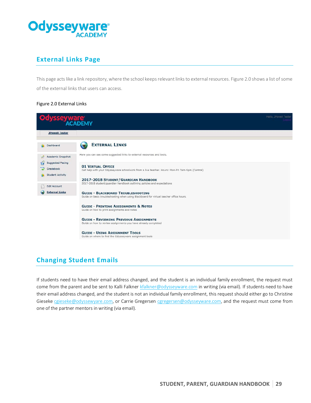

# **External Links Page**

This page acts like a link repository, where the school keeps relevant linksto external resources. Figure 2.0 shows a list of some of the external links that users can access.

## Figure 2.0 External Links

| ysseyware                                                       | Hello, JPowell Tester                                                                                                               |  |
|-----------------------------------------------------------------|-------------------------------------------------------------------------------------------------------------------------------------|--|
|                                                                 |                                                                                                                                     |  |
| <b>JPowell Tester</b>                                           |                                                                                                                                     |  |
| Dashboard                                                       | <b>EXTERNAL LINKS</b>                                                                                                               |  |
| Academic Snapshot                                               | Here you can see some suggested links to external resources and tools.                                                              |  |
| <b>Suggested Pacing</b><br>Gradebook<br><b>Student Activity</b> | <b>01 VIRTUAL OFFICE</b><br>Get help with your Odysseyware schoolwork from a live teacher. Hours: Mon-Fri 7am-5pm (Central)         |  |
| <b>Edit Account</b>                                             | 2017-2018 STUDENT/GUARDIAN HANDBOOK<br>2017-2018 student/guardian handbook outlining policies and expectations                      |  |
| <b>External Links</b>                                           | <b>GUIDE - BLACKBOARD TROUBLESHOOTING</b><br>Guide on basic troubleshooting when using Blackboard for virtual teacher office hours. |  |
|                                                                 | <b>GUIDE - PRINTING ASSIGNMENTS &amp; NOTES</b><br>Guide on how to print assignments and notes                                      |  |
|                                                                 | <b>GUIDE - REVIEWING PREVIOUS ASSIGNMENTS</b><br>Guide on how to review assignments you have already completed                      |  |
|                                                                 | <b>GUIDE - USING ASSIGNMENT TOOLS</b><br>Guide on where to find the Odysseyware assignment tools                                    |  |
|                                                                 |                                                                                                                                     |  |

# **Changing Student Emails**

If students need to have their email address changed, and the student is an individual family enrollment, the request must come from the parent and be sent to Kalli Falkner [kfalkner@odysseyware.com](mailto:kfalkner@odysseyware.com) in writing (via email). If students need to have their email address changed, and the student is not an individual family enrollment, this request should either go to Christine Gieseke [cgieseke@odyssewyare.com,](mailto:cgieseke@odyssewyare.com) or Carrie Gregersen [cgregersen@odysseyware.com,](mailto:cgregersen@odysseyware.com) and the request must come from one of the partner mentors in writing (via email).